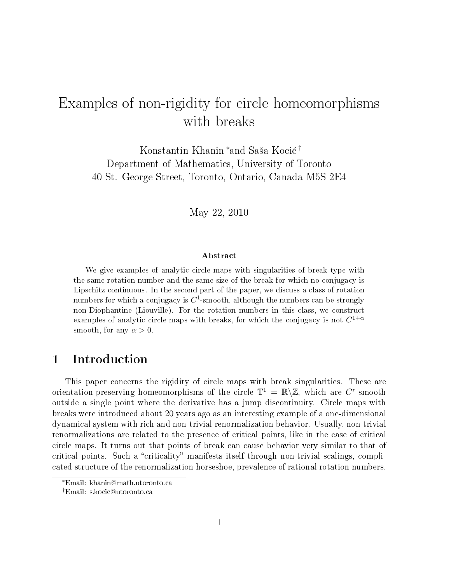# Examples of non-rigidity for circle homeomorphisms with breaks

Konstantin Khanin <sup>∗</sup>and Saša Kocić <sup>†</sup> Department of Mathematics, University of Toronto 40 St. George Street, Toronto, Ontario, Canada M5S 2E4

May 22, 2010

#### Abstract

We give examples of analytic circle maps with singularities of break type with the same rotation number and the same size of the break for which no conjugacy is Lipschitz continuous. In the second part of the paper, we discuss a class of rotation numbers for which a conjugacy is  $C^1$ -smooth, although the numbers can be strongly non-Diophantine (Liouville). For the rotation numbers in this class, we construct examples of analytic circle maps with breaks, for which the conjugacy is not  $C^{1+\alpha}$ smooth, for any  $\alpha > 0$ .

# 1 Introduction

This paper concerns the rigidity of circle maps with break singularities. These are orientation-preserving homeomorphisms of the circle  $\mathbb{T}^1 = \mathbb{R} \setminus \mathbb{Z}$ , which are C<sup>r</sup>-smooth outside a single point where the derivative has a jump discontinuity. Circle maps with breaks were introduced about 20 years ago as an interesting example of a one-dimensional dynamical system with rich and non-trivial renormalization behavior. Usually, non-trivial renormalizations are related to the presence of critical points, like in the case of critical circle maps. It turns out that points of break can cause behavior very similar to that of critical points. Such a "criticality" manifests itself through non-trivial scalings, complicated structure of the renormalization horseshoe, prevalence of rational rotation numbers,

<sup>∗</sup>Email: khanin@math.utoronto.ca

<sup>†</sup>Email: s.kocic@utoronto.ca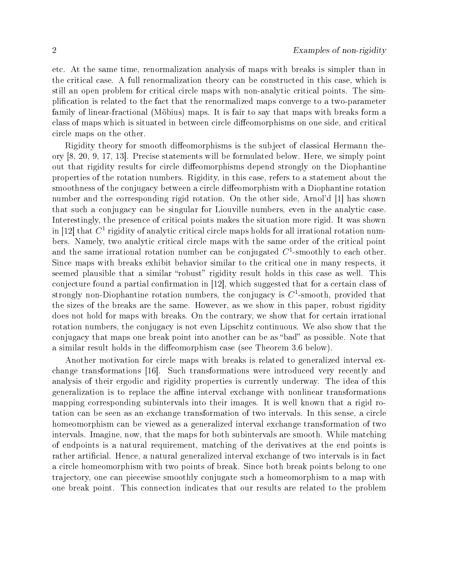etc. At the same time, renormalization analysis of maps with breaks is simpler than in the critical case. A full renormalization theory can be constructed in this case, which is still an open problem for critical circle maps with non-analytic critical points. The simplication is related to the fact that the renormalized maps converge to a two-parameter family of linear-fractional (Möbius) maps. It is fair to say that maps with breaks form a class of maps which is situated in between circle diffeomorphisms on one side, and critical circle maps on the other.

Rigidity theory for smooth diffeomorphisms is the subject of classical Hermann theory [8, 20, 9, 17, 13]. Precise statements will be formulated below. Here, we simply point out that rigidity results for circle diffeomorphisms depend strongly on the Diophantine properties of the rotation numbers. Rigidity, in this case, refers to a statement about the smoothness of the conjugacy between a circle diffeomorphism with a Diophantine rotation number and the corresponding rigid rotation. On the other side, Arnol'd [1] has shown that such a conjugacy can be singular for Liouville numbers, even in the analytic case. Interestingly, the presence of critical points makes the situation more rigid. It was shown in [12] that  $C^1$  rigidity of analytic critical circle maps holds for all irrational rotation numbers. Namely, two analytic critical circle maps with the same order of the critical point and the same irrational rotation number can be conjugated  $C^1$ -smoothly to each other. Since maps with breaks exhibit behavior similar to the critical one in many respects, it seemed plausible that a similar "robust" rigidity result holds in this case as well. This conjecture found a partial confirmation in  $[12]$ , which suggested that for a certain class of strongly non-Diophantine rotation numbers, the conjugacy is  $C^1$ -smooth, provided that the sizes of the breaks are the same. However, as we show in this paper, robust rigidity does not hold for maps with breaks. On the contrary, we show that for certain irrational rotation numbers, the conjugacy is not even Lipschitz continuous. We also show that the conjugacy that maps one break point into another can be as "bad" as possible. Note that a similar result holds in the diffeomorphism case (see Theorem 3.6 below).

Another motivation for circle maps with breaks is related to generalized interval exchange transformations [16]. Such transformations were introduced very recently and analysis of their ergodic and rigidity properties is currently underway. The idea of this generalization is to replace the affine interval exchange with nonlinear transformations mapping corresponding subintervals into their images. It is well known that a rigid rotation can be seen as an exchange transformation of two intervals. In this sense, a circle homeomorphism can be viewed as a generalized interval exchange transformation of two intervals. Imagine, now, that the maps for both subintervals are smooth. While matching of endpoints is a natural requirement, matching of the derivatives at the end points is rather artificial. Hence, a natural generalized interval exchange of two intervals is in fact a circle homeomorphism with two points of break. Since both break points belong to one trajectory, one can piecewise smoothly conjugate such a homeomorphism to a map with one break point. This connection indicates that our results are related to the problem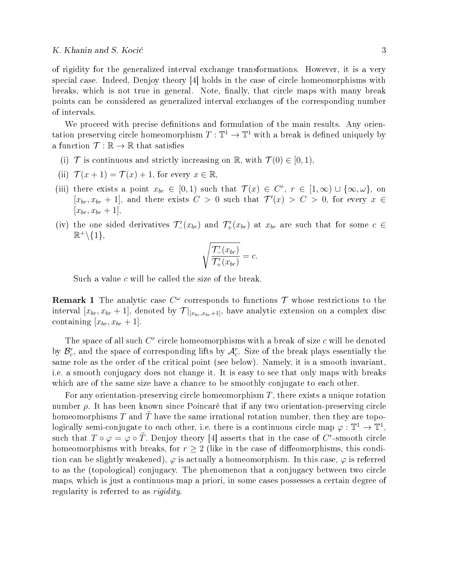of rigidity for the generalized interval exchange transformations. However, it is a very special case. Indeed, Denjoy theory [4] holds in the case of circle homeomorphisms with breaks, which is not true in general. Note, finally, that circle maps with many break points can be considered as generalized interval exchanges of the corresponding number of intervals.

We proceed with precise definitions and formulation of the main results. Any orientation preserving circle homeomorphism  $T: \mathbb{T}^1 \to \mathbb{T}^1$  with a break is defined uniquely by a function  $\mathcal{T}: \mathbb{R} \to \mathbb{R}$  that satisfies

- (i)  $\mathcal T$  is continuous and strictly increasing on  $\mathbb R$ , with  $\mathcal T(0) \in [0,1)$ ,
- (ii)  $\mathcal{T}(x+1) = \mathcal{T}(x) + 1$ , for every  $x \in \mathbb{R}$
- (iii) there exists a point  $x_{br} \in [0,1)$  such that  $\mathcal{T}(x) \in C^r$ ,  $r \in [1,\infty) \cup \{\infty,\omega\}$ , on  $[x_{br}, x_{br} + 1]$ , and there exists  $C > 0$  such that  $\mathcal{T}'(x) > C > 0$ , for every  $x \in$  $[x_{br}, x_{br} + 1],$
- (iv) the one sided derivatives  $\mathcal{T}'_-(x_{br})$  and  $\mathcal{T}'_+(x_{br})$  at  $x_{br}$  are such that for some  $c \in$  $\mathbb{R}^+\backslash\{1\},\$

$$
\sqrt{\frac{\mathcal{T}'_-(x_{br})}{\mathcal{T}'_+(x_{br})}} = c.
$$

Such a value  $c$  will be called the size of the break.

**Remark 1** The analytic case  $C^{\omega}$  corresponds to functions  $\mathcal{T}$  whose restrictions to the interval  $[x_{br}, x_{br} + 1]$ , denoted by  $\mathcal{T}|_{[x_{br}, x_{br}+1]}$ , have analytic extension on a complex disc containing  $[x_{br}, x_{br} + 1].$ 

The space of all such  $C<sup>r</sup>$  circle homeomorphisms with a break of size  $c$  will be denoted by  $\mathcal{B}_c^r$ , and the space of corresponding lifts by  $\mathcal{A}_c^r$ . Size of the break plays essentially the same role as the order of the critical point (see below). Namely, it is a smooth invariant, i.e. a smooth conjugacy does not change it. It is easy to see that only maps with breaks which are of the same size have a chance to be smoothly conjugate to each other.

For any orientation-preserving circle homeomorphism  $T$ , there exists a unique rotation number  $\rho$ . It has been known since Poincaré that if any two orientation-preserving circle homeomorphisms  $T$  and  $T$  have the same irrational rotation number, then they are topologically semi-conjugate to each other, i.e. there is a continuous circle map  $\varphi : \mathbb{T}^1 \to \mathbb{T}^1$ , such that  $T \circ \varphi = \varphi \circ \tilde{T}$ . Denjoy theory [4] asserts that in the case of  $C^r$ -smooth circle homeomorphisms with breaks, for  $r \geq 2$  (like in the case of diffeomorphisms, this condition can be slightly weakened),  $\varphi$  is actually a homeomorphism. In this case,  $\varphi$  is referred to as the (topological) conjugacy. The phenomenon that a conjugacy between two circle maps, which is just a continuous map a priori, in some cases possesses a certain degree of regularity is referred to as rigidity.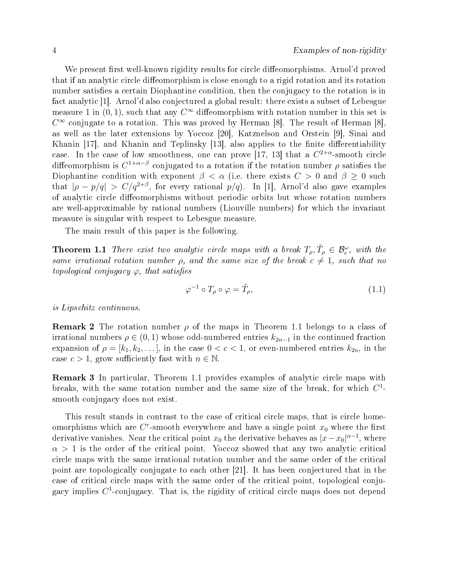We present first well-known rigidity results for circle diffeomorphisms. Arnol'd proved that if an analytic circle diffeomorphism is close enough to a rigid rotation and its rotation number satisfies a certain Diophantine condition, then the conjugacy to the rotation is in fact analytic [1]. Arnol'd also conjectured a global result: there exists a subset of Lebesgue measure 1 in  $(0, 1)$ , such that any  $C^{\infty}$  diffeomorphism with rotation number in this set is  $C^{\infty}$  conjugate to a rotation. This was proved by Herman [8]. The result of Herman [8], as well as the later extensions by Yoccoz [20], Katznelson and Orstein [9], Sinai and Khanin  $[17]$ , and Khanin and Teplinsky  $[13]$ , also applies to the finite differentiability case. In the case of low smoothness, one can prove [17, 13] that a  $C^{2+\alpha}$ -smooth circle diffeomorphism is  $C^{1+\alpha-\beta}$  conjugated to a rotation if the rotation number  $\rho$  satisfies the Diophantine condition with exponent  $\beta < \alpha$  (i.e. there exists  $C > 0$  and  $\beta > 0$  such that  $|\rho - p/q| > C/q^{2+\beta}$ , for every rational  $p/q$ ). In [1], Arnol'd also gave examples of analytic circle diffeomorphisms without periodic orbits but whose rotation numbers are well-approximable by rational numbers (Liouville numbers) for which the invariant measure is singular with respect to Lebesgue measure.

The main result of this paper is the following.

**Theorem 1.1** There exist two analytic circle maps with a break  $T_\rho, \tilde{T}_\rho \in \mathcal{B}_c^\omega$ , with the same irrational rotation number  $\rho$ , and the same size of the break  $c \neq 1$ , such that no topological conjugacy  $\varphi$ , that satisfies

$$
\varphi^{-1} \circ T_{\rho} \circ \varphi = \tilde{T}_{\rho},\tag{1.1}
$$

is Lipschitz continuous.

**Remark 2** The rotation number  $\rho$  of the maps in Theorem 1.1 belongs to a class of irrational numbers  $\rho \in (0,1)$  whose odd-numbered entries  $k_{2n-1}$  in the continued fraction expansion of  $\rho = [k_1, k_2, \ldots]$ , in the case  $0 < c < 1$ , or even-numbered entries  $k_{2n}$ , in the case  $c > 1$ , grow sufficiently fast with  $n \in \mathbb{N}$ .

Remark 3 In particular, Theorem 1.1 provides examples of analytic circle maps with breaks, with the same rotation number and the same size of the break, for which  $C^1$ smooth conjugacy does not exist.

This result stands in contrast to the case of critical circle maps, that is circle homeomorphisms which are  $C^r$ -smooth everywhere and have a single point  $x_0$  where the first derivative vanishes. Near the critical point  $x_0$  the derivative behaves as  $|x-x_0|^{\alpha-1}$ , where  $\alpha > 1$  is the order of the critical point. Yoccoz showed that any two analytic critical circle maps with the same irrational rotation number and the same order of the critical point are topologically conjugate to each other [21]. It has been conjectured that in the case of critical circle maps with the same order of the critical point, topological conjugacy implies  $C^1$ -conjugacy. That is, the rigidity of critical circle maps does not depend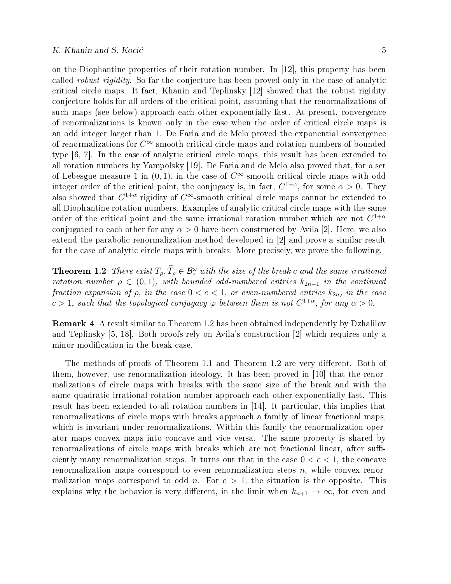on the Diophantine properties of their rotation number. In [12], this property has been called robust rigidity. So far the conjecture has been proved only in the case of analytic critical circle maps. It fact, Khanin and Teplinsky [12] showed that the robust rigidity conjecture holds for all orders of the critical point, assuming that the renormalizations of such maps (see below) approach each other exponentially fast. At present, convergence of renormalizations is known only in the case when the order of critical circle maps is an odd integer larger than 1. De Faria and de Melo proved the exponential convergence of renormalizations for  $C^{\infty}$ -smooth critical circle maps and rotation numbers of bounded type [6, 7]. In the case of analytic critical circle maps, this result has been extended to all rotation numbers by Yampolsky [19]. De Faria and de Melo also proved that, for a set of Lebesgue measure 1 in  $(0, 1)$ , in the case of  $C^{\infty}$ -smooth critical circle maps with odd integer order of the critical point, the conjugacy is, in fact,  $C^{1+\alpha}$ , for some  $\alpha > 0$ . They also showed that  $C^{1+\alpha}$  rigidity of  $C^{\infty}$ -smooth critical circle maps cannot be extended to all Diophantine rotation numbers. Examples of analytic critical circle maps with the same order of the critical point and the same irrational rotation number which are not  $C^{1+\alpha}$ conjugated to each other for any  $\alpha > 0$  have been constructed by Avila [2]. Here, we also extend the parabolic renormalization method developed in [2] and prove a similar result for the case of analytic circle maps with breaks. More precisely, we prove the following.

**Theorem 1.2** There exist  $T_{\rho}, \tilde{T}_{\rho} \in \mathcal{B}_{c}^{\omega}$  with the size of the break c and the same irrational rotation number  $\rho \in (0, 1)$ , with bounded odd-numbered entries  $k_{2n-1}$  in the continued fraction expansion of  $\rho$ , in the case  $0 < c < 1$ , or even-numbered entries  $k_{2n}$ , in the case  $c > 1$ , such that the topological conjugacy  $\varphi$  between them is not  $C^{1+\alpha}$ , for any  $\alpha > 0$ .

Remark 4 A result similar to Theorem 1.2 has been obtained independently by Dzhalilov and Teplinsky [5, 18]. Both proofs rely on Avila's construction [2] which requires only a minor modification in the break case.

The methods of proofs of Theorem 1.1 and Theorem 1.2 are very different. Both of them, however, use renormalization ideology. It has been proved in [10] that the renormalizations of circle maps with breaks with the same size of the break and with the same quadratic irrational rotation number approach each other exponentially fast. This result has been extended to all rotation numbers in [14]. It particular, this implies that renormalizations of circle maps with breaks approach a family of linear fractional maps, which is invariant under renormalizations. Within this family the renormalization operator maps convex maps into concave and vice versa. The same property is shared by renormalizations of circle maps with breaks which are not fractional linear, after sufficiently many renormalization steps. It turns out that in the case  $0 < c < 1$ , the concave renormalization maps correspond to even renormalization steps  $n$ , while convex renormalization maps correspond to odd n. For  $c > 1$ , the situation is the opposite. This explains why the behavior is very different, in the limit when  $k_{n+1} \to \infty$ , for even and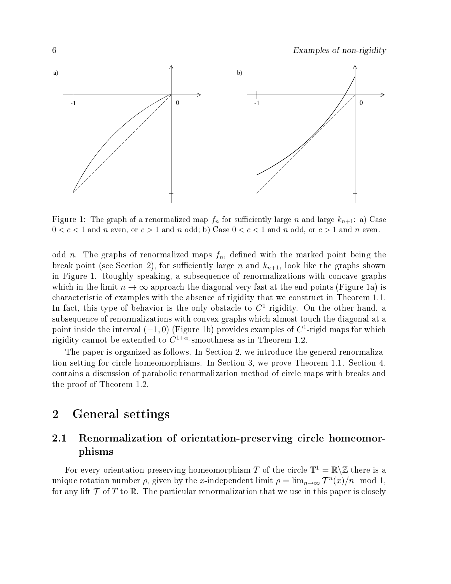

Figure 1: The graph of a renormalized map  $f_n$  for sufficiently large n and large  $k_{n+1}$ : a) Case  $0 < c < 1$  and n even, or  $c > 1$  and n odd; b) Case  $0 < c < 1$  and n odd, or  $c > 1$  and n even.

odd n. The graphs of renormalized maps  $f_n$ , defined with the marked point being the break point (see Section 2), for sufficiently large n and  $k_{n+1}$ , look like the graphs shown in Figure 1. Roughly speaking, a subsequence of renormalizations with concave graphs which in the limit  $n \to \infty$  approach the diagonal very fast at the end points (Figure 1a) is characteristic of examples with the absence of rigidity that we construct in Theorem 1.1. In fact, this type of behavior is the only obstacle to  $C<sup>1</sup>$  rigidity. On the other hand, a subsequence of renormalizations with convex graphs which almost touch the diagonal at a point inside the interval  $(-1,0)$  (Figure 1b) provides examples of  $C<sup>1</sup>$ -rigid maps for which rigidity cannot be extended to  $C^{1+\alpha}$ -smoothness as in Theorem 1.2.

The paper is organized as follows. In Section 2, we introduce the general renormalization setting for circle homeomorphisms. In Section 3, we prove Theorem 1.1. Section 4, contains a discussion of parabolic renormalization method of circle maps with breaks and the proof of Theorem 1.2.

# 2 General settings

# 2.1 Renormalization of orientation-preserving circle homeomorphisms

For every orientation-preserving homeomorphism T of the circle  $\mathbb{T}^1 = \mathbb{R} \setminus \mathbb{Z}$  there is a unique rotation number  $\rho$ , given by the x-independent limit  $\rho = \lim_{n \to \infty} \mathcal{T}^n(x)/n \mod 1$ , for any lift  $\mathcal T$  of T to R. The particular renormalization that we use in this paper is closely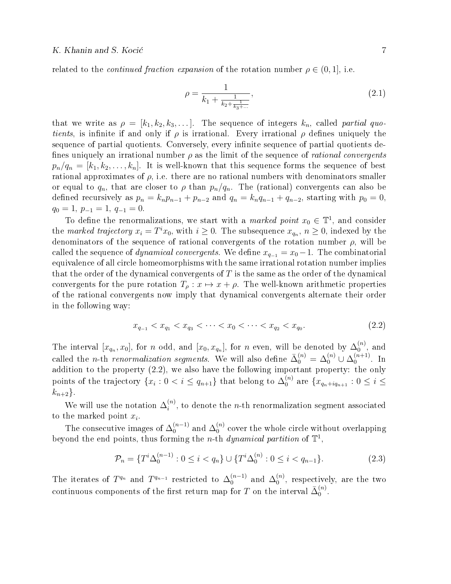related to the *continued fraction expansion* of the rotation number  $\rho \in (0,1]$ , i.e.

$$
\rho = \frac{1}{k_1 + \frac{1}{k_2 + \frac{1}{k_3 + \dots}}},\tag{2.1}
$$

that we write as  $\rho = [k_1, k_2, k_3, \dots]$ . The sequence of integers  $k_n$ , called partial quotients, is infinite if and only if  $\rho$  is irrational. Every irrational  $\rho$  defines uniquely the sequence of partial quotients. Conversely, every infinite sequence of partial quotients defines uniquely an irrational number  $\rho$  as the limit of the sequence of *rational convergents*  $p_n/q_n = [k_1, k_2, \ldots, k_n]$ . It is well-known that this sequence forms the sequence of best rational approximates of  $\rho$ , i.e. there are no rational numbers with denominators smaller or equal to  $q_n$ , that are closer to  $\rho$  than  $p_n/q_n$ . The (rational) convergents can also be defined recursively as  $p_n = k_n p_{n-1} + p_{n-2}$  and  $q_n = k_n q_{n-1} + q_{n-2}$ , starting with  $p_0 = 0$ ,  $q_0 = 1, p_{-1} = 1, q_{-1} = 0.$ 

To define the renormalizations, we start with a *marked point*  $x_0 \in \mathbb{T}^1$ , and consider the marked trajectory  $x_i = T^i x_0$ , with  $i \geq 0$ . The subsequence  $x_{q_n}$ ,  $n \geq 0$ , indexed by the denominators of the sequence of rational convergents of the rotation number  $\rho$ , will be called the sequence of *dynamical convergents*. We define  $x_{q-1} = x_0 - 1$ . The combinatorial equivalence of all circle homeomorphisms with the same irrational rotation number implies that the order of the dynamical convergents of  $T$  is the same as the order of the dynamical convergents for the pure rotation  $T_{\rho}: x \mapsto x + \rho$ . The well-known arithmetic properties of the rational convergents now imply that dynamical convergents alternate their order in the following way:

$$
x_{q_{-1}} < x_{q_1} < x_{q_3} < \dots < x_0 < \dots < x_{q_2} < x_{q_0}.\tag{2.2}
$$

The interval  $[x_{q_n}, x_0]$ , for n odd, and  $[x_0, x_{q_n}]$ , for n even, will be denoted by  $\Delta_0^{(n)}$  $_0^{(n)}$ , and called the *n*-th renormalization segments. We will also define  $\bar{\Delta}_0^{(n)} = \Delta_0^{(n)} \cup \Delta_0^{(n+1)}$  $\int_{0}^{(n+1)}$ . In addition to the property (2.2), we also have the following important property: the only points of the trajectory  $\{x_i: 0 < i \leq q_{n+1}\}$  that belong to  $\Delta_0^{(n)}$  $\binom{n}{0}$  are  $\{x_{q_n+iq_{n+1}}: 0 \leq i \leq$  $k_{n+2}$ .

We will use the notation  $\Delta_i^{(n)}$  $i^{(n)}$ , to denote the *n*-th renormalization segment associated to the marked point  $x_i$ .

The consecutive images of  $\Delta_0^{(n-1)}$  $\mathcal{L}_0^{(n-1)}$  and  $\Delta_0^{(n)}$  $_{0}^{(n)}$  cover the whole circle without overlapping beyond the end points, thus forming the *n*-th *dynamical partition* of  $\mathbb{T}^1$ ,

$$
\mathcal{P}_n = \{ T^i \Delta_0^{(n-1)} : 0 \le i < q_n \} \cup \{ T^i \Delta_0^{(n)} : 0 \le i < q_{n-1} \}. \tag{2.3}
$$

The iterates of  $T^{q_n}$  and  $T^{q_{n-1}}$  restricted to  $\Delta_0^{(n-1)}$  $\mathcal{L}_0^{(n-1)}$  and  $\Delta_0^{(n)}$  $_0^{(n)}$ , respectively, are the two continuous components of the first return map for  $T$  on the interval  $\bar{\Delta}_0^{(n)}$  $\overset{(n)}{0}$ .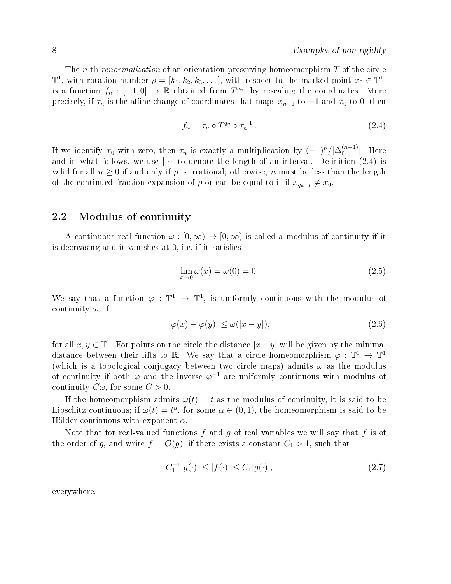The *n*-th renormalization of an orientation-preserving homeomorphism  $T$  of the circle  $\mathbb{T}^1$ , with rotation number  $\rho = [k_1, k_2, k_3, \dots]$ , with respect to the marked point  $x_0 \in \mathbb{T}^1$ , is a function  $f_n: [-1,0] \to \mathbb{R}$  obtained from  $T^{q_n}$ , by rescaling the coordinates. More precisely, if  $\tau_n$  is the affine change of coordinates that maps  $x_{n-1}$  to  $-1$  and  $x_0$  to 0, then

$$
f_n = \tau_n \circ T^{q_n} \circ \tau_n^{-1} \,. \tag{2.4}
$$

If we identify  $x_0$  with zero, then  $\tau_n$  is exactly a multiplication by  $(-1)^n/|\Delta_0^{(n-1)}|$  $\binom{n-1}{0}$ . Here and in what follows, we use  $|\cdot|$  to denote the length of an interval. Definition (2.4) is valid for all  $n \geq 0$  if and only if  $\rho$  is irrational; otherwise, n must be less than the length of the continued fraction expansion of  $\rho$  or can be equal to it if  $x_{q_{n-1}} \neq x_0$ .

### 2.2 Modulus of continuity

A continuous real function  $\omega : [0, \infty) \to [0, \infty)$  is called a modulus of continuity if it is decreasing and it vanishes at 0, i.e. if it satisfies

$$
\lim_{x \to 0} \omega(x) = \omega(0) = 0. \tag{2.5}
$$

We say that a function  $\varphi : \mathbb{T}^1 \to \mathbb{T}^1$ , is uniformly continuous with the modulus of continuity  $\omega$ , if

$$
|\varphi(x) - \varphi(y)| \le \omega(|x - y|),\tag{2.6}
$$

for all  $x, y \in \mathbb{T}^1$ . For points on the circle the distance  $|x-y|$  will be given by the minimal distance between their lifts to R. We say that a circle homeomorphism  $\varphi : \mathbb{T}^1 \to \mathbb{T}^1$ (which is a topological conjugacy between two circle maps) admits  $\omega$  as the modulus of continuity if both  $\varphi$  and the inverse  $\varphi^{-1}$  are uniformly continuous with modulus of continuity  $C\omega$ , for some  $C > 0$ .

If the homeomorphism admits  $\omega(t) = t$  as the modulus of continuity, it is said to be Lipschitz continuous; if  $\omega(t) = t^{\alpha}$ , for some  $\alpha \in (0, 1)$ , the homeomorphism is said to be Hölder continuous with exponent  $\alpha$ .

Note that for real-valued functions f and g of real variables we will say that f is of the order of g, and write  $f = \mathcal{O}(g)$ , if there exists a constant  $C_1 > 1$ , such that

$$
C_1^{-1}|g(\cdot)| \le |f(\cdot)| \le C_1|g(\cdot)|,\tag{2.7}
$$

everywhere.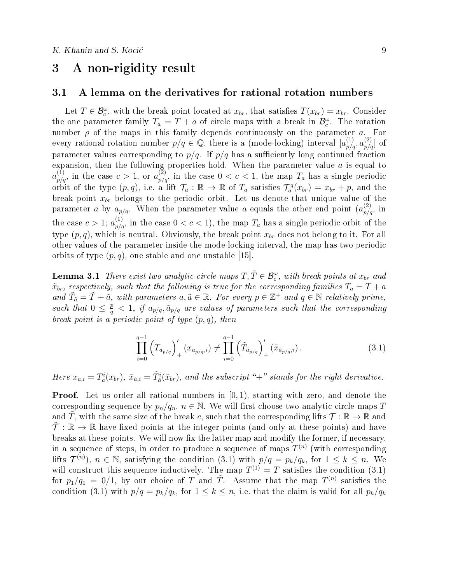# 3 A non-rigidity result

#### 3.1 A lemma on the derivatives for rational rotation numbers

Let  $T \in \mathcal{B}_{c}^{\omega}$ , with the break point located at  $x_{br}$ , that satisfies  $T(x_{br}) = x_{br}$ . Consider the one parameter family  $T_a = T + a$  of circle maps with a break in  $\mathcal{B}_c^{\omega}$ . The rotation number  $\rho$  of the maps in this family depends continuously on the parameter  $a_n$ . For every rational rotation number  $p/q \in \mathbb{Q}$ , there is a (mode-locking) interval  $[a_{p/q}^{(1)}, a_{p/q}^{(2)}]$  of parameter values corresponding to  $p/q$ . If  $p/q$  has a sufficiently long continued fraction expansion, then the following properties hold. When the parameter value  $a$  is equal to  $a_{p/q}^{(1)}$ , in the case  $c > 1$ , or  $a_{p/q}^{(2)}$ , in the case  $0 < c < 1$ , the map  $T_a$  has a single periodic orbit of the type  $(p, q)$ , i.e. a lift  $\mathcal{T}_a : \mathbb{R} \to \mathbb{R}$  of  $T_a$  satisfies  $\mathcal{T}_a^q(x_{br}) = x_{br} + p$ , and the break point  $x_{br}$  belongs to the periodic orbit. Let us denote that unique value of the parameter a by  $a_{p/q}$ . When the parameter value a equals the other end point  $(a_{p/q}^{(2)})$  in the case  $c > 1$ ;  $a_{p/q}^{(1)}$ , in the case  $0 < c < 1$ ), the map  $T_a$  has a single periodic orbit of the type  $(p, q)$ , which is neutral. Obviously, the break point  $x_{br}$  does not belong to it. For all other values of the parameter inside the mode-locking interval, the map has two periodic orbits of type  $(p, q)$ , one stable and one unstable [15].

**Lemma 3.1** There exist two analytic circle maps  $T, \tilde{T} \in \mathcal{B}_c^{\omega}$ , with break points at  $x_{br}$  and  $\tilde{x}_{br}$ , respectively, such that the following is true for the corresponding families  $T_a = T + a$ and  $\tilde{T}_{\tilde{a}} = \tilde{T} + \tilde{a}$ , with parameters  $a, \tilde{a} \in \mathbb{R}$ . For every  $p \in \mathbb{Z}^+$  and  $q \in \mathbb{N}$  relatively prime, such that  $0 \leq \frac{p}{q}$  $\frac{p}{q} < 1, \, \, if \,\, a_{p/q}, \tilde{a}_{p/q} \,\, \, are \,\, values \,\, of \,\, parameters \,\, such \,\, that \,\, the \,\, corresponding \,\,$ break point is a periodic point of type  $(p, q)$ , then

$$
\prod_{i=0}^{q-1} \left( T_{a_{p/q}} \right)'_+ (x_{a_{p/q},i}) \neq \prod_{i=0}^{q-1} \left( \tilde{T}_{\tilde{a}_{p/q}} \right)'_+ (\tilde{x}_{\tilde{a}_{p/q},i}). \tag{3.1}
$$

Here  $x_{a,i} = T_a^i(x_{br}), \tilde{x}_{\tilde{a},i} = \tilde{T}_a^i(\tilde{x}_{br}),$  and the subscript "+" stands for the right derivative.

**Proof.** Let us order all rational numbers in  $[0, 1)$ , starting with zero, and denote the corresponding sequence by  $p_n/q_n$ ,  $n \in \mathbb{N}$ . We will first choose two analytic circle maps T and T, with the same size of the break c, such that the corresponding lifts  $\mathcal{T} : \mathbb{R} \to \mathbb{R}$  and  $\mathcal{T}: \mathbb{R} \to \mathbb{R}$  have fixed points at the integer points (and only at these points) and have breaks at these points. We will now fix the latter map and modify the former, if necessary, in a sequence of steps, in order to produce a sequence of maps  $T^{(n)}$  (with corresponding lifts  $\mathcal{T}^{(n)}$ ),  $n \in \mathbb{N}$ , satisfying the condition (3.1) with  $p/q = p_k/q_k$ , for  $1 \leq k \leq n$ . We will construct this sequence inductively. The map  $T^{(1)} = T$  satisfies the condition (3.1) for  $p_1/q_1 = 0/1$ , by our choice of T and T. Assume that the map  $T^{(n)}$  satisfies the condition (3.1) with  $p/q = p_k/q_k$ , for  $1 \leq k \leq n$ , i.e. that the claim is valid for all  $p_k/q_k$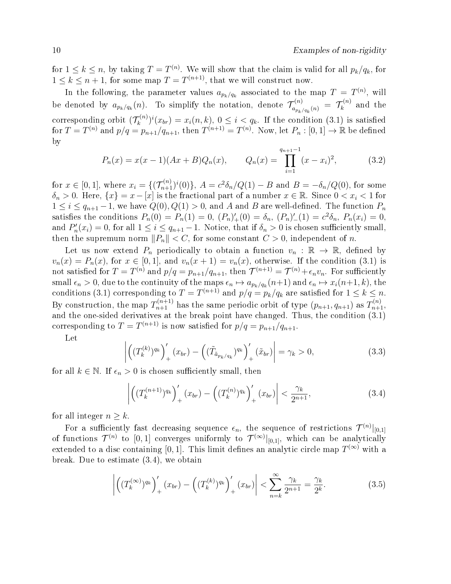for  $1 \leq k \leq n$ , by taking  $T = T^{(n)}$ . We will show that the claim is valid for all  $p_k/q_k$ , for  $1 \leq k \leq n+1$ , for some map  $T = T^{(n+1)}$ , that we will construct now.

In the following, the parameter values  $a_{p_k/q_k}$  associated to the map  $T = T^{(n)}$ , will be denoted by  $a_{p_k/q_k}(n)$ . To simplify the notation, denote  $\mathcal{T}_{a_{n_k}}^{(n)}$  $\tau^{(n)}_{a_{p_k/q_k}(n)} \; = \; \mathcal{T}^{(n)}_k$  $\bar{k}^{(n)}$  and the corresponding orbit  $(\mathcal{T}_k^{(n)})$  $(x_k^{(n)})^i(x_{br}) = x_i(n, k), 0 \leq i \leq q_k$ . If the condition (3.1) is satisfied for  $T=T^{(n)}$  and  $p/q=p_{n+1}/q_{n+1}$ , then  $T^{(n+1)}=T^{(n)}$ . Now, let  $P_n:[0,1]\to\mathbb{R}$  be defined by

$$
P_n(x) = x(x-1)(Ax+B)Q_n(x), \qquad Q_n(x) = \prod_{i=1}^{q_{n+1}-1} (x-x_i)^2, \tag{3.2}
$$

for  $x \in [0,1]$ , where  $x_i = \{(\mathcal{T}_{n+1}^{(n)})^i(0)\}, A = c^2 \delta_n / Q(1) - B$  and  $B = -\delta_n / Q(0)$ , for some  $\delta_n > 0$ . Here,  $\{x\} = x - [x]$  is the fractional part of a number  $x \in \mathbb{R}$ . Since  $0 < x_i < 1$  for  $1 \leq i \leq q_{n+1}-1$ , we have  $Q(0), Q(1) > 0$ , and A and B are well-defined. The function  $P_n$ satisfies the conditions  $P_n(0) = P_n(1) = 0$ ,  $(P_n)'_+(0) = \delta_n$ ,  $(P_n)'_-(1) = c^2 \delta_n$ ,  $P_n(x_i) = 0$ , and  $P'_n(x_i) = 0$ , for all  $1 \leq i \leq q_{n+1} - 1$ . Notice, that if  $\delta_n > 0$  is chosen sufficiently small, then the supremum norm  $||P_n|| < C$ , for some constant  $C > 0$ , independent of n.

Let us now extend  $P_n$  periodically to obtain a function  $v_n : \mathbb{R} \to \mathbb{R}$ , defined by  $v_n(x) = P_n(x)$ , for  $x \in [0,1]$ , and  $v_n(x+1) = v_n(x)$ , otherwise. If the condition (3.1) is not satisfied for  $T=T^{(n)}$  and  $p/q=p_{n+1}/q_{n+1}$ , then  $\mathcal{T}^{(n+1)}=\mathcal{T}^{(n)}+\epsilon_nv_n$ . For sufficiently small  $\epsilon_n > 0$ , due to the continuity of the maps  $\epsilon_n \mapsto a_{p_k/q_k}(n+1)$  and  $\epsilon_n \mapsto x_i(n+1, k)$ , the conditions (3.1) corresponding to  $T = T^{(n+1)}$  and  $p/q = p_k/q_k$  are satisfied for  $1 \leq k \leq n$ . By construction, the map  $T_{n+1}^{(n+1)}$  has the same periodic orbit of type  $(p_{n+1}, q_{n+1})$  as  $T_{n+1}^{(n)}$ , and the one-sided derivatives at the break point have changed. Thus, the condition  $(3.1)$ corresponding to  $T = T^{(n+1)}$  is now satisfied for  $p/q = p_{n+1}/q_{n+1}$ .

Let

$$
\left| \left( (T_k^{(k)})^{q_k} \right)'_+ (x_{br}) - \left( (\tilde{T}_{\tilde{a}_{p_k/q_k}})^{q_k} \right)'_+ (\tilde{x}_{br}) \right| = \gamma_k > 0, \tag{3.3}
$$

for all  $k \in \mathbb{N}$ . If  $\epsilon_n > 0$  is chosen sufficiently small, then

$$
\left| \left( (T_k^{(n+1)})^{q_k} \right)'_+ (x_{br}) - \left( (T_k^{(n)})^{q_k} \right)'_+ (x_{br}) \right| < \frac{\gamma_k}{2^{n+1}}, \tag{3.4}
$$

for all integer  $n \geq k$ .

For a sufficiently fast decreasing sequence  $\epsilon_n$ , the sequence of restrictions  $\mathcal{T}^{(n)}|_{[0,1]}$ of functions  $\mathcal{T}^{(n)}$  to  $[0,1]$  converges uniformly to  $\mathcal{T}^{(\infty)}|_{[0,1]}$ , which can be analytically extended to a disc containing [0,1]. This limit defines an analytic circle map  $T^{(\infty)}$  with a break. Due to estimate (3.4), we obtain

$$
\left| \left( (T_k^{(\infty)})^{q_k} \right)'_+ (x_{br}) - \left( (T_k^{(k)})^{q_k} \right)'_+ (x_{br}) \right| < \sum_{n=k}^{\infty} \frac{\gamma_k}{2^{n+1}} = \frac{\gamma_k}{2^k}.\tag{3.5}
$$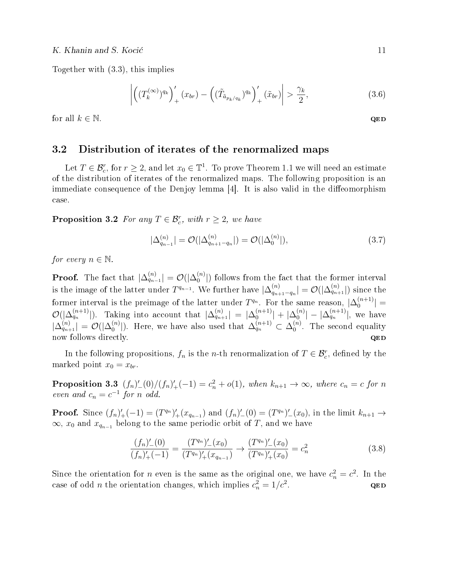Together with (3.3), this implies

$$
\left| \left( (T_k^{(\infty)})^{q_k} \right)'_+ (x_{br}) - \left( (\tilde{T}_{\tilde{a}_{p_k/q_k}})^{q_k} \right)'_+ (\tilde{x}_{br}) \right| > \frac{\gamma_k}{2}, \tag{3.6}
$$

for all  $k \in \mathbb{N}$ . QED

## 3.2 Distribution of iterates of the renormalized maps

Let  $T \in \mathcal{B}_c^r$ , for  $r \geq 2$ , and let  $x_0 \in \mathbb{T}^1$ . To prove Theorem 1.1 we will need an estimate of the distribution of iterates of the renormalized maps. The following proposition is an immediate consequence of the Denjoy lemma  $[4]$ . It is also valid in the diffeomorphism case.

**Proposition 3.2** For any  $T \in \mathcal{B}_c^r$ , with  $r \geq 2$ , we have

$$
|\Delta_{q_{n-1}}^{(n)}| = \mathcal{O}(|\Delta_{q_{n+1}-q_n}^{(n)}|) = \mathcal{O}(|\Delta_0^{(n)}|), \tag{3.7}
$$

for every  $n \in \mathbb{N}$ .

**Proof.** The fact that  $|\Delta_{q_{n-1}}^{(n)}| = \mathcal{O}(|\Delta_0^{(n)}|)$  $\binom{n}{0}$  follows from the fact that the former interval is the image of the latter under  $T^{q_{n-1}}$ . We further have  $\Delta_{q_{n-1}}^{(n)}$  $\frac{(n)}{q_{n+1}-q_n}|=\mathcal{O}(|\Delta_{q_{n+1}}^{(n)}|)$  since the former interval is the preimage of the latter under  $T^{q_n}$ . For the same reason,  $|\Delta_0^{(n+1)}|$  $|0^{(n+1)}| =$  $\mathcal{O}(|\Delta_{q_n}^{(n+1)}|)$ . Taking into account that  $|\Delta_{q_{n+1}}^{(n)}| = |\Delta_0^{(n+1)}|$  $\left\vert _{0}^{\left( n+1\right) }\right\vert +\left\vert \Delta _{0}^{\left( n\right) }\right\vert$  $\binom{[n]}{0} - |\Delta_{q_n}^{(n+1)}|,$  we have  $|\Delta_{q_{n+1}}^{(n)}|=\mathcal{O}(|\Delta_0^{(n)}|)$  $\binom{n}{0}$ . Here, we have also used that  $\Delta_{q_n}^{(n+1)} \subset \Delta_0^{(n)}$  $_0^{(n)}$ . The second equality now follows directly.

In the following propositions,  $f_n$  is the *n*-th renormalization of  $T \in \mathcal{B}_c^r$ , defined by the marked point  $x_0 = x_{br}$ .

**Proposition 3.3**  $(f_n)'_{-}(0)/(f_n)'_{+}(-1) = c_n^2 + o(1)$ , when  $k_{n+1} \to \infty$ , where  $c_n = c$  for n even and  $c_n = c^{-1}$  for n odd.

**Proof.** Since  $(f_n)'_+(-1) = (T^{q_n})'_+(x_{q_{n-1}})$  and  $(f_n)'_-(0) = (T^{q_n})'_-(x_0)$ , in the limit  $k_{n+1} \to$  $\infty$ ,  $x_0$  and  $x_{q_{n-1}}$  belong to the same periodic orbit of T, and we have

$$
\frac{(f_n)'_-(0)}{(f_n)'_+(-1)} = \frac{(T^{q_n})'_-(x_0)}{(T^{q_n})'_+(x_{q_{n-1}})} \to \frac{(T^{q_n})'_-(x_0)}{(T^{q_n})'_+(x_0)} = c_n^2
$$
\n(3.8)

Since the orientation for *n* even is the same as the original one, we have  $c_n^2 = c^2$ . In the case of odd *n* the orientation changes, which implies  $c_n^2 = 1/c^2$ . QED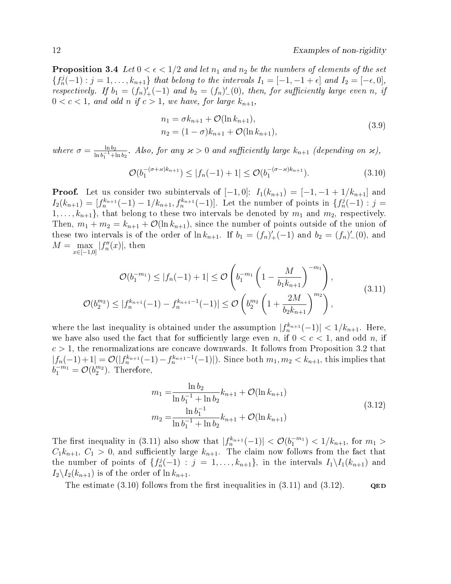**Proposition 3.4** Let  $0 < \epsilon < 1/2$  and let  $n_1$  and  $n_2$  be the numbers of elements of the set  ${f_n^j(-1): j = 1, \ldots, k_{n+1}}$  that belong to the intervals  $I_1 = [-1, -1 + \epsilon]$  and  $I_2 = [-\epsilon, 0],$ respectively. If  $b_1 = (f_n)'_+(-1)$  and  $b_2 = (f_n)'_-(0)$ , then, for sufficiently large even n, if  $0 < c < 1$ , and odd n if  $c > 1$ , we have, for large  $k_{n+1}$ ,

$$
n_1 = \sigma k_{n+1} + \mathcal{O}(\ln k_{n+1}),
$$
  
\n
$$
n_2 = (1 - \sigma)k_{n+1} + \mathcal{O}(\ln k_{n+1}),
$$
\n(3.9)

where  $\sigma = \frac{\ln b_2}{\ln b_1 - 1}$  $\frac{\ln b_2}{\ln b_1^{-1} + \ln b_2}$ . Also, for any  $\varkappa > 0$  and sufficiently large  $k_{n+1}$  (depending on  $\varkappa$ ),

$$
\mathcal{O}(b_1^{-(\sigma+\varkappa)k_{n+1}}) \le |f_n(-1)+1| \le \mathcal{O}(b_1^{-(\sigma-\varkappa)k_{n+1}}).
$$
\n(3.10)

**Proof.** Let us consider two subintervals of  $[-1, 0]$ :  $I_1(k_{n+1}) = [-1, -1 + 1/k_{n+1}]$  and  $I_2(k_{n+1}) = [f_n^{k_{n+1}}(-1) - 1/k_{n+1}, f_n^{k_{n+1}}(-1)].$  Let the number of points in  $\{f_n^j(-1) : j = 1\}$  $1, \ldots, k_{n+1}$ , that belong to these two intervals be denoted by  $m_1$  and  $m_2$ , respectively. Then,  $m_1 + m_2 = k_{n+1} + \mathcal{O}(\ln k_{n+1})$ , since the number of points outside of the union of these two intervals is of the order of  $\ln k_{n+1}$ . If  $b_1 = (f_n)'_+(-1)$  and  $b_2 = (f_n)'_-(0)$ , and  $M = \max_{x \in [-1,0]} |f''_n(x)|$ , then

$$
\mathcal{O}(b_1^{-m_1}) \le |f_n(-1) + 1| \le \mathcal{O}\left(b_1^{-m_1} \left(1 - \frac{M}{b_1 k_{n+1}}\right)^{-m_1}\right),
$$
\n
$$
\mathcal{O}(b_2^{m_2}) \le |f_n^{k_{n+1}}(-1) - f_n^{k_{n+1}-1}(-1)| \le \mathcal{O}\left(b_2^{m_2} \left(1 + \frac{2M}{b_2 k_{n+1}}\right)^{m_2}\right),
$$
\n(3.11)

where the last inequality is obtained under the assumption  $|f_n^{k_{n+1}}(-1)| < 1/k_{n+1}$ . Here, we have also used the fact that for sufficiently large even n, if  $0 < c < 1$ , and odd n, if  $c > 1$ , the renormalizations are concave downwards. It follows from Proposition 3.2 that  $|f_n(-1)+1| = \mathcal{O}(|f_n^{k_{n+1}}(-1)-f_n^{k_{n+1}-1}(-1)|)$ . Since both  $m_1, m_2 < k_{n+1}$ , this implies that  $b_1^{-m_1} = \mathcal{O}(b_2^{m_2})$ . Therefore,

$$
m_1 = \frac{\ln b_2}{\ln b_1^{-1} + \ln b_2} k_{n+1} + \mathcal{O}(\ln k_{n+1})
$$
  
\n
$$
m_2 = \frac{\ln b_1^{-1}}{\ln b_1^{-1} + \ln b_2} k_{n+1} + \mathcal{O}(\ln k_{n+1})
$$
\n(3.12)

The first inequality in (3.11) also show that  $|f_n^{k_{n+1}}(-1)| < O(b_1^{-m_1}) < 1/k_{n+1}$ , for  $m_1 >$  $C_1k_{n+1}$ ,  $C_1 > 0$ , and sufficiently large  $k_{n+1}$ . The claim now follows from the fact that the number of points of  $\{f_n^j(-1) : j = 1, \ldots, k_{n+1}\},$  in the intervals  $I_1 \setminus I_1(k_{n+1})$  and  $I_2\backslash I_2(k_{n+1})$  is of the order of  $\ln k_{n+1}$ .

The estimate  $(3.10)$  follows from the first inequalities in  $(3.11)$  and  $(3.12)$ . QED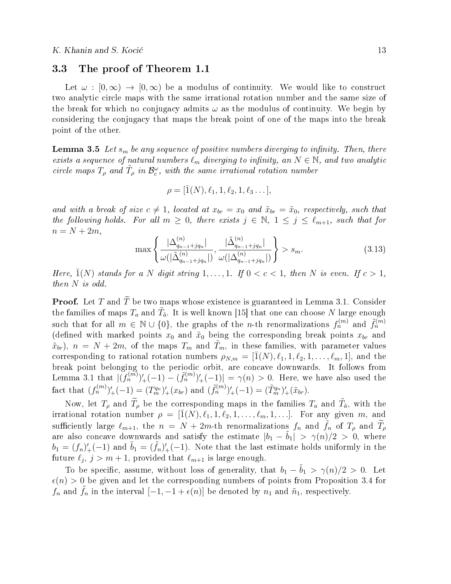## 3.3 The proof of Theorem 1.1

Let  $\omega : [0, \infty) \to [0, \infty)$  be a modulus of continuity. We would like to construct two analytic circle maps with the same irrational rotation number and the same size of the break for which no conjugacy admits  $\omega$  as the modulus of continuity. We begin by considering the conjugacy that maps the break point of one of the maps into the break point of the other.

**Lemma 3.5** Let  $s_m$  be any sequence of positive numbers diverging to infinity. Then, there exists a sequence of natural numbers  $\ell_m$  diverging to infinity, an  $N \in \mathbb{N}$ , and two analytic circle maps  $T_{\rho}$  and  $\tilde{T}_{\rho}$  in  $\mathcal{B}_{c}^{\omega}$ , with the same irrational rotation number

$$
\rho = [\bar{1}(N), \ell_1, 1, \ell_2, 1, \ell_3 \dots],
$$

and with a break of size  $c \neq 1$ , located at  $x_{br} = x_0$  and  $\tilde{x}_{br} = \tilde{x}_0$ , respectively, such that the following holds. For all  $m \geq 0$ , there exists  $j \in \mathbb{N}$ ,  $1 \leq j \leq \ell_{m+1}$ , such that for  $n = N + 2m$ ,

$$
\max\left\{\frac{|\Delta_{q_{n-1}+jq_n}|}{\omega(|\tilde{\Delta}_{q_{n-1}+jq_n}^{(n)}|)}, \frac{|\tilde{\Delta}_{q_{n-1}+jq_n}^{(n)}|}{\omega(|\Delta_{q_{n-1}+jq_n}^{(n)}|)}\right\} > s_m.
$$
\n(3.13)

Here,  $\bar{1}(N)$  stands for a N digit string  $1, \ldots, 1$ . If  $0 < c < 1$ , then N is even. If  $c > 1$ , then N is odd.

**Proof.** Let T and  $\widetilde{T}$  be two maps whose existence is guaranteed in Lemma 3.1. Consider the families of maps  $T_a$  and  $\tilde{T}_{\tilde{a}}$ . It is well known [15] that one can choose N large enough such that for all  $m \in \mathbb{N} \cup \{0\}$ , the graphs of the *n*-th renormalizations  $f_n^{(m)}$  and  $\tilde{f}_n^{(m)}$ (defined with marked points  $x_0$  and  $\tilde{x}_0$  being the corresponding break points  $x_{br}$  and  $\tilde{x}_{br}$ ,  $n = N + 2m$ , of the maps  $T_m$  and  $\tilde{T}_m$ , in these families, with parameter values corresponding to rational rotation numbers  $\rho_{N,m} = [\bar{1}(N), \ell_1, 1, \ell_2, 1, \ldots, \ell_m, 1]$ , and the break point belonging to the periodic orbit, are concave downwards. It follows from Lemma 3.1 that  $| (f_n^{(m)})'_+(-1) - (\tilde{f}_n^{(m)})'_+(-1) | = \gamma(n) > 0$ . Here, we have also used the fact that  $(f_n^{(m)})'_+(-1) = (T_m^{q_n})'_+(x_{br})$  and  $(\tilde{f}_n^{(m)})'_+(-1) = (\tilde{T}_m^{q_n})'_+(\tilde{x}_{br})$ .

Now, let  $T_\rho$  and  $\widetilde{T}_\rho$  be the corresponding maps in the families  $T_a$  and  $\widetilde{T}_{\tilde{a}}$ , with the irrational rotation number  $\rho = [\bar{1}(N), \ell_1, 1, \ell_2, 1, \ldots, \ell_m, 1, \ldots]$ . For any given m, and sufficiently large  $\ell_{m+1}$ , the  $n = N + 2m$ -th renormalizations  $f_n$  and  $\tilde{f}_n$  of  $T_\rho$  and  $T_\rho$ are also concave downwards and satisfy the estimate  $|b_1 - \tilde{b}_1| > \gamma(n)/2 > 0$ , where  $b_1 = (f_n)'_+(-1)$  and  $\tilde{b}_1 = (\tilde{f}_n)'_+(-1)$ . Note that the last estimate holds uniformly in the future  $\ell_j$ ,  $j > m + 1$ , provided that  $\ell_{m+1}$  is large enough.

To be specific, assume, without loss of generality, that  $b_1 - \tilde{b}_1 > \gamma(n)/2 > 0$ . Let  $\epsilon(n) > 0$  be given and let the corresponding numbers of points from Proposition 3.4 for  $f_n$  and  $\tilde{f}_n$  in the interval  $[-1, -1 + \epsilon(n)]$  be denoted by  $n_1$  and  $\tilde{n}_1$ , respectively.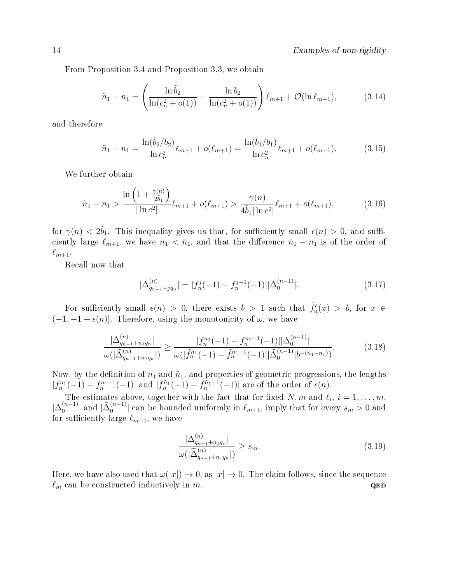From Proposition 3.4 and Proposition 3.3, we obtain

$$
\tilde{n}_1 - n_1 = \left(\frac{\ln \tilde{b}_2}{\ln(c_n^2 + o(1))} - \frac{\ln b_2}{\ln(c_n^2 + o(1))}\right) \ell_{m+1} + \mathcal{O}(\ln \ell_{m+1}),\tag{3.14}
$$

and therefore

$$
\tilde{n}_1 - n_1 = \frac{\ln(\tilde{b}_2/b_2)}{\ln c_n^2} \ell_{m+1} + o(\ell_{m+1}) = \frac{\ln(\tilde{b}_1/b_1)}{\ln c_n^2} \ell_{m+1} + o(\ell_{m+1}).\tag{3.15}
$$

We further obtain

$$
\tilde{n}_1 - n_1 > \frac{\ln\left(1 + \frac{\gamma(n)}{2\tilde{b}_1}\right)}{|\ln c^2|} \ell_{m+1} + o(\ell_{m+1}) > \frac{\gamma(n)}{4\tilde{b}_1|\ln c^2|} \ell_{m+1} + o(\ell_{m+1}),\tag{3.16}
$$

for  $\gamma(n) < 2\tilde{b}_1$ . This inequality gives us that, for sufficiently small  $\epsilon(n) > 0$ , and sufficiently large  $\ell_{m+1}$ , we have  $n_1 < \tilde{n}_1$ , and that the difference  $\tilde{n}_1 - n_1$  is of the order of  $\ell_{m+1}$ .

Recall now that

$$
|\Delta_{q_{n-1}+jq_n}^{(n)}| = |f_n^j(-1) - f_n^{j-1}(-1)||\Delta_0^{(n-1)}|.
$$
\n(3.17)

For sufficiently small  $\epsilon(n) > 0$ , there exists  $b > 1$  such that  $\tilde{f}'_n(x) > b$ , for  $x \in$  $(-1, -1 + \epsilon(n))$ . Therefore, using the monotonicity of  $\omega$ , we have

$$
\frac{|\Delta_{q_{n-1}+n_1q_n}^{(n)}|}{\omega(|\widetilde{\Delta}_{q_{n-1}+n_1q_n}^{(n)}|)} \ge \frac{|f_n^{n_1}(-1) - f_n^{n_1-1}(-1)||\Delta_0^{(n-1)}|}{\omega(|\widetilde{f}_n^{\tilde{n}_1}(-1) - \widetilde{f}_n^{\tilde{n}_1-1}(-1)||\widetilde{\Delta}_0^{(n-1)}|b^{-(\tilde{n}_1-n_1)}}.
$$
\n(3.18)

Now, by the definition of  $n_1$  and  $\tilde{n}_1$ , and properties of geometric progressions, the lengths  $|f_n^{n_1}(-1) - f_n^{n_1-1}(-1)|$  and  $|\tilde{f}_n^{\tilde{n}_1}(-1) - \tilde{f}_n^{\tilde{n}_1-1}(-1)|$  are of the order of  $\epsilon(n)$ .

The estimates above, together with the fact that for fixed N, m and  $\ell_i$ ,  $i = 1, \ldots, m$ ,  $|\Delta_0^{(n-1)}|$  $\binom{n-1}{0}$  and  $|\tilde{\Delta}_0^{(n-1)}\rangle$  $\binom{n-1}{0}$  can be bounded uniformly in  $\ell_{m+1}$ , imply that for every  $s_m > 0$  and for sufficiently large  $\ell_{m+1}$ , we have

$$
\frac{|\Delta_{q_{n-1}+n_1q_n}^{(n)}|}{\omega(|\widetilde{\Delta}_{q_{n-1}+n_1q_n}^{(n)}|)} \ge s_m.
$$
\n(3.19)

Here, we have also used that  $\omega(|x|) \to 0$ , as  $|x| \to 0$ . The claim follows, since the sequence  $\ell_m$  can be constructed inductively in m.  $QED$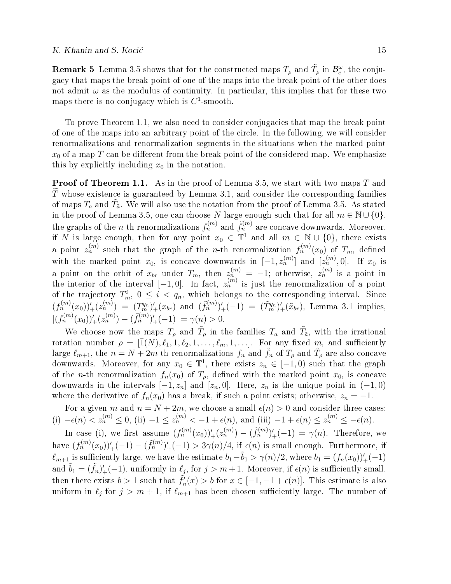**Remark 5** Lemma 3.5 shows that for the constructed maps  $T_\rho$  and  $\tilde{T}_\rho$  in  $\mathcal{B}_c^\omega$ , the conjugacy that maps the break point of one of the maps into the break point of the other does not admit  $\omega$  as the modulus of continuity. In particular, this implies that for these two maps there is no conjugacy which is  $C^1$ -smooth.

To prove Theorem 1.1, we also need to consider conjugacies that map the break point of one of the maps into an arbitrary point of the circle. In the following, we will consider renormalizations and renormalization segments in the situations when the marked point  $x_0$  of a map T can be different from the break point of the considered map. We emphasize this by explicitly including  $x_0$  in the notation.

**Proof of Theorem 1.1.** As in the proof of Lemma 3.5, we start with two maps T and  $T$  whose existence is guaranteed by Lemma 3.1, and consider the corresponding families of maps  $T_a$  and  $\tilde{T}_{\tilde{a}}$ . We will also use the notation from the proof of Lemma 3.5. As stated in the proof of Lemma 3.5, one can choose N large enough such that for all  $m \in \mathbb{N} \cup \{0\}$ , the graphs of the *n*-th renormalizations  $f_n^{(m)}$  and  $\tilde{f}_n^{(m)}$  are concave downwards. Moreover, if N is large enough, then for any point  $x_0 \in \mathbb{T}^1$  and all  $m \in \mathbb{N} \cup \{0\}$ , there exists a point  $z_n^{(m)}$  such that the graph of the *n*-th renormalization  $f_n^{(m)}(x_0)$  of  $T_m$ , defined with the marked point  $x_0$ , is concave downwards in  $[-1, z_n^{(m)}]$  and  $[z_n^{(m)}, 0]$ . If  $x_0$  is a point on the orbit of  $x_{br}$  under  $T_m$ , then  $z_n^{(m)} = -1$ ; otherwise,  $z_n^{(m)}$  is a point in the interior of the interval  $[-1,0]$ . In fact,  $z_n^{(m)}$  is just the renormalization of a point of the trajectory  $T_m^i$ ,  $0 \leq i \leq q_n$ , which belongs to the corresponding interval. Since  $(f_n^{(m)}(x_0))'_+(z_n^{(m)}) = (T_m^{q_n})'_+(x_{br})$  and  $(\tilde{f}_n^{(m)})'_+(-1) = (\tilde{T}_m^{q_n})'_+(\tilde{x}_{br})$ , Lemma 3.1 implies,  $|(f_n^{(m)}(x_0))'_{+}(z_n^{(m)}) - (\tilde{f}_n^{(m)})'_{+}(-1)| = \gamma(n) > 0.$ 

We choose now the maps  $T_\rho$  and  $\tilde{T}_\rho$  in the families  $T_a$  and  $\tilde{T}_a$ , with the irrational rotation number  $\rho = [\bar{1}(N), \ell_1, 1, \ell_2, 1, \ldots, \ell_m, 1, \ldots]$ . For any fixed m, and sufficiently large  $\ell_{m+1}$ , the  $n = N + 2m$ -th renormalizations  $f_n$  and  $\tilde{f}_n$  of  $T_\rho$  and  $\tilde{T}_\rho$  are also concave downwards. Moreover, for any  $x_0 \in \mathbb{T}^1$ , there exists  $z_n \in [-1,0)$  such that the graph of the *n*-th renormalization  $f_n(x_0)$  of  $T_\rho$ , defined with the marked point  $x_0$ , is concave downwards in the intervals  $[-1, z_n]$  and  $[z_n, 0]$ . Here,  $z_n$  is the unique point in  $(-1, 0)$ where the derivative of  $f_n(x_0)$  has a break, if such a point exists; otherwise,  $z_n = -1$ .

For a given m and  $n = N + 2m$ , we choose a small  $\epsilon(n) > 0$  and consider three cases: (i)  $-\epsilon(n) < z_n^{(m)} \leq 0$ , (ii)  $-1 \leq z_n^{(m)} < -1 + \epsilon(n)$ , and (iii)  $-1 + \epsilon(n) \leq z_n^{(m)} \leq -\epsilon(n)$ .

In case (i), we first assume  $(f_n^{(m)}(x_0))'_+(z_n^{(m)}) - (\tilde{f}_n^{(m)})'_+(-1) = \gamma(n)$ . Therefore, we have  $(f_n^{(m)}(x_0))_+'(-1) - (\tilde{f}_n^{(m)})_+'(-1) > 3\gamma(n)/4$ , if  $\epsilon(n)$  is small enough. Furthermore, if  $\ell_{m+1}$  is sufficiently large, we have the estimate  $b_1-\tilde{b}_1 > \gamma(n)/2$ , where  $b_1 = (f_n(x_0))_+'(-1)$ and  $\tilde{b}_1 = (\tilde{f}_n)'_+(-1)$ , uniformly in  $\ell_j$ , for  $j > m+1$ . Moreover, if  $\epsilon(n)$  is sufficiently small, then there exists  $b > 1$  such that  $\tilde{f}'_n(x) > b$  for  $x \in [-1, -1 + \epsilon(n)]$ . This estimate is also uniform in  $\ell_j$  for  $j > m + 1$ , if  $\ell_{m+1}$  has been chosen sufficiently large. The number of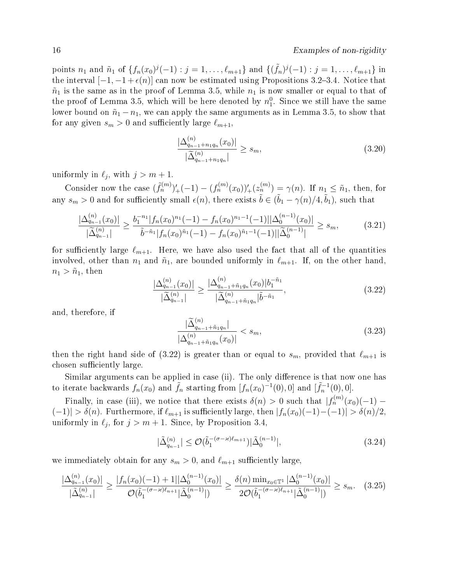points  $n_1$  and  $\tilde{n}_1$  of  $\{f_n(x_0)^j(-1) : j = 1, \ldots, \ell_{m+1}\}\$  and  $\{(\tilde{f}_n)^j(-1) : j = 1, \ldots, \ell_{m+1}\}\$ in the interval  $[-1, -1 + \epsilon(n)]$  can now be estimated using Propositions 3.2–3.4. Notice that  $\tilde{n}_1$  is the same as in the proof of Lemma 3.5, while  $n_1$  is now smaller or equal to that of the proof of Lemma 3.5, which will be here denoted by  $n_1^0$ . Since we still have the same lower bound on  $\tilde{n}_1 - n_1$ , we can apply the same arguments as in Lemma 3.5, to show that for any given  $s_m > 0$  and sufficiently large  $\ell_{m+1}$ ,

$$
\frac{|\Delta_{q_{n-1}+n_1q_n}^{(n)}(x_0)|}{|\widetilde{\Delta}_{q_{n-1}+n_1q_n}^{(n)}|} \ge s_m,
$$
\n(3.20)

uniformly in  $\ell_j$ , with  $j > m + 1$ .

Consider now the case  $(\tilde{f}_n^{(m)})'_+(-1) - (f_n^{(m)}(x_0))'_+(z_n^{(m)}) = \gamma(n)$ . If  $n_1 \leq \tilde{n}_1$ , then, for any  $s_m > 0$  and for sufficiently small  $\epsilon(n)$ , there exists  $\tilde{b} \in (\tilde{b}_1 - \gamma(n)/4, \tilde{b}_1)$ , such that

$$
\frac{|\Delta_{q_{n-1}}^{(n)}(x_0)|}{|\widetilde{\Delta}_{q_{n-1}}^{(n)}|} \ge \frac{b_1^{-n_1}|f_n(x_0)^{n_1}(-1) - f_n(x_0)^{n_1-1}(-1)||\Delta_0^{(n-1)}(x_0)|}{\tilde{b}^{-\tilde{n}_1}|f_n(x_0)^{\tilde{n}_1}(-1) - f_n(x_0)^{\tilde{n}_1-1}(-1)||\widetilde{\Delta}_0^{(n-1)}|} \ge s_m,
$$
\n(3.21)

for sufficiently large  $\ell_{m+1}$ . Here, we have also used the fact that all of the quantities involved, other than  $n_1$  and  $\tilde{n}_1$ , are bounded uniformly in  $\ell_{m+1}$ . If, on the other hand,  $n_1 > \tilde{n}_1$ , then

$$
\frac{|\Delta_{q_{n-1}}^{(n)}(x_0)|}{|\widetilde{\Delta}_{q_{n-1}}^{(n)}|} \ge \frac{|\Delta_{q_{n-1}+\tilde{n}_1q_n}^{(n)}(x_0)|b_1^{-\tilde{n}_1}}{|\widetilde{\Delta}_{q_{n-1}+\tilde{n}_1q_n}^{(n)}|\tilde{b}^{-\tilde{n}_1}},
$$
\n(3.22)

and, therefore, if

$$
\frac{|\widetilde{\Delta}_{q_{n-1}+\tilde{n}_1q_n}^{(n)}|}{|\Delta_{q_{n-1}+\tilde{n}_1q_n}^{(n)}(x_0)|} < s_m,\tag{3.23}
$$

then the right hand side of (3.22) is greater than or equal to  $s_m$ , provided that  $\ell_{m+1}$  is chosen sufficiently large.

Similar arguments can be applied in case (ii). The only difference is that now one has to iterate backwards  $f_n(x_0)$  and  $\tilde{f}_n$  starting from  $[f_n(x_0)^{-1}(0), 0]$  and  $[\tilde{f}_n^{-1}(0), 0]$ .

Finally, in case (iii), we notice that there exists  $\delta(n) > 0$  such that  $|f_n^{(m)}(x_0)(-1) |(-1)| > \delta(n)$ . Furthermore, if  $\ell_{m+1}$  is sufficiently large, then  $|f_n(x_0)(-1)-(-1)| > \delta(n)/2$ . uniformly in  $\ell_j$ , for  $j > m + 1$ . Since, by Proposition 3.4,

$$
|\tilde{\Delta}_{q_{n-1}}^{(n)}| \le \mathcal{O}(\tilde{b}_1^{-(\sigma - \varkappa)\ell_{m+1}})|\tilde{\Delta}_0^{(n-1)}|,\tag{3.24}
$$

we immediately obtain for any  $s_m > 0$ , and  $\ell_{m+1}$  sufficiently large,

$$
\frac{|\Delta_{q_{n-1}}^{(n)}(x_0)|}{|\tilde{\Delta}_{q_{n-1}}^{(n)}|} \ge \frac{|f_n(x_0)(-1) + 1||\Delta_0^{(n-1)}(x_0)|}{\mathcal{O}(\tilde{b}_1^{-(\sigma - \varkappa)\ell_{n+1}}|\tilde{\Delta}_0^{(n-1)}|)} \ge \frac{\delta(n)\min_{x_0 \in \mathbb{T}^1} |\Delta_0^{(n-1)}(x_0)|}{2\mathcal{O}(\tilde{b}_1^{-(\sigma - \varkappa)\ell_{n+1}}|\tilde{\Delta}_0^{(n-1)}|)} \ge s_m. \tag{3.25}
$$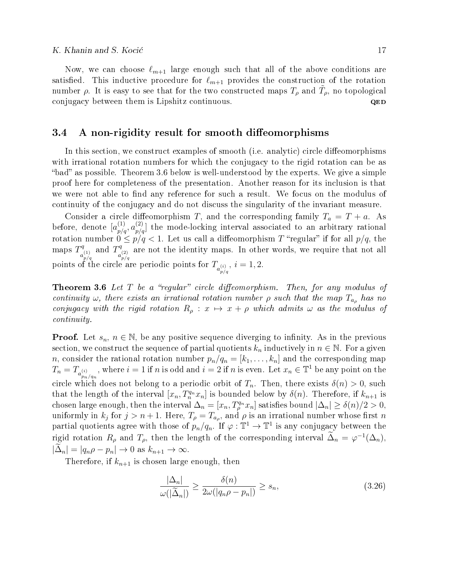Now, we can choose  $\ell_{m+1}$  large enough such that all of the above conditions are satisfied. This inductive procedure for  $\ell_{m+1}$  provides the construction of the rotation number  $\rho$ . It is easy to see that for the two constructed maps  $T_{\rho}$  and  $\tilde{T}_{\rho}$ , no topological conjugacy between them is Lipshitz continuous. QED

## 3.4 A non-rigidity result for smooth diffeomorphisms

In this section, we construct examples of smooth (i.e. analytic) circle diffeomorphisms with irrational rotation numbers for which the conjugacy to the rigid rotation can be as "bad" as possible. Theorem 3.6 below is well-understood by the experts. We give a simple proof here for completeness of the presentation. Another reason for its inclusion is that we were not able to find any reference for such a result. We focus on the modulus of continuity of the conjugacy and do not discuss the singularity of the invariant measure.

Consider a circle diffeomorphism T, and the corresponding family  $T_a = T + a$ . As before, denote  $[a_{p/q}^{(1)}, a_{p/q}^{(2)}]$  the mode-locking interval associated to an arbitrary rational rotation number  $0 \le p/q < 1$ . Let us call a diffeomorphism T "regular" if for all  $p/q$ , the maps  $T^q$  $a_{p/q}^{\left( 1\right) }$ and  $T^q$  $a_{p/q}^{\left( 2\right) }$ are not the identity maps. In other words, we require that not all points of the circle are periodic points for  $T_{a_{p/q}^{(i)}}$ ,  $i = 1, 2$ .

**Theorem 3.6** Let  $T$  be a "regular" circle diffeomorphism. Then, for any modulus of continuity  $\omega$ , there exists an irrational rotation number  $\rho$  such that the map  $T_{a_{\rho}}$  has no conjugacy with the rigid rotation  $R_\rho : x \mapsto x + \rho$  which admits  $\omega$  as the modulus of continuity.

**Proof.** Let  $s_n$ ,  $n \in \mathbb{N}$ , be any positive sequence diverging to infinity. As in the previous section, we construct the sequence of partial quotients  $k_n$  inductively in  $n \in \mathbb{N}$ . For a given *n*, consider the rational rotation number  $p_n/q_n = [k_1, \ldots, k_n]$  and the corresponding map  $T_n = T_{a_{p_n/q_n}^{(i)}}$ , where  $i = 1$  if n is odd and  $i = 2$  if n is even. Let  $x_n \in \mathbb{T}^1$  be any point on the circle which does not belong to a periodic orbit of  $T_n$ . Then, there exists  $\delta(n) > 0$ , such that the length of the interval  $[x_n, T_n^{q_n} x_n]$  is bounded below by  $\delta(n)$ . Therefore, if  $k_{n+1}$  is chosen large enough, then the interval  $\Delta_n = [x_n, T_{\rho}^{q_n} x_n]$  satisfies bound  $|\Delta_n| \geq \delta(n)/2 > 0$ , uniformly in  $k_j$  for  $j > n+1$ . Here,  $T_\rho = T_{a_\rho}$ , and  $\rho$  is an irrational number whose first n partial quotients agree with those of  $p_n/q_n$ . If  $\varphi : \mathbb{T}^1 \to \mathbb{T}^1$  is any conjugacy between the rigid rotation  $R_\rho$  and  $T_\rho$ , then the length of the corresponding interval  $\tilde{\Delta}_n = \varphi^{-1}(\Delta_n)$ ,  $|\Delta_n| = |q_n \rho - p_n| \to 0$  as  $k_{n+1} \to \infty$ .

Therefore, if  $k_{n+1}$  is chosen large enough, then

$$
\frac{|\Delta_n|}{\omega(|\widetilde{\Delta}_n|)} \ge \frac{\delta(n)}{2\omega(|q_n\rho - p_n|)} \ge s_n,
$$
\n(3.26)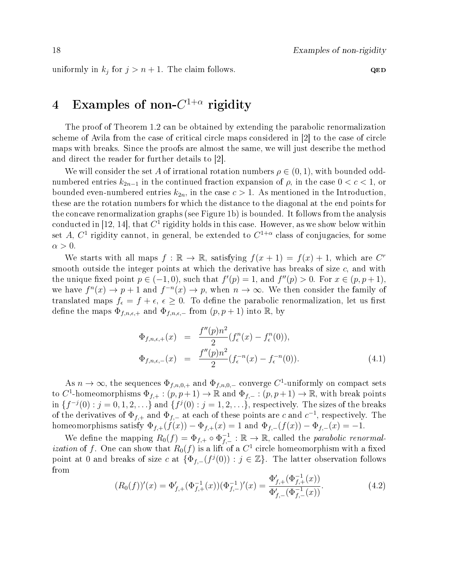uniformly in  $k_j$  for  $j > n + 1$ . The claim follows.  $QED$ 

# $4$  Examples of non- $C^{1+\alpha}$  rigidity

The proof of Theorem 1.2 can be obtained by extending the parabolic renormalization scheme of Avila from the case of critical circle maps considered in [2] to the case of circle maps with breaks. Since the proofs are almost the same, we will just describe the method and direct the reader for further details to [2].

We will consider the set A of irrational rotation numbers  $\rho \in (0,1)$ , with bounded oddnumbered entries  $k_{2n-1}$  in the continued fraction expansion of  $\rho$ , in the case  $0 < c < 1$ , or bounded even-numbered entries  $k_{2n}$ , in the case  $c > 1$ . As mentioned in the Introduction, these are the rotation numbers for which the distance to the diagonal at the end points for the concave renormalization graphs (see Figure 1b) is bounded. It follows from the analysis conducted in [12, 14], that  $C^1$  rigidity holds in this case. However, as we show below within set A,  $C^1$  rigidity cannot, in general, be extended to  $C^{1+\alpha}$  class of conjugacies, for some  $\alpha > 0$ .

We starts with all maps  $f : \mathbb{R} \to \mathbb{R}$ , satisfying  $f(x + 1) = f(x) + 1$ , which are  $C^r$ smooth outside the integer points at which the derivative has breaks of size  $c$ , and with the unique fixed point  $p \in (-1,0)$ , such that  $f'(p) = 1$ , and  $f''(p) > 0$ . For  $x \in (p, p+1)$ , we have  $f^{n}(x) \to p+1$  and  $f^{-n}(x) \to p$ , when  $n \to \infty$ . We then consider the family of translated maps  $f_{\epsilon} = f + \epsilon, \epsilon \geq 0$ . To define the parabolic renormalization, let us first define the maps  $\Phi_{f,n,\epsilon,+}$  and  $\Phi_{f,n,\epsilon,-}$  from  $(p, p+1)$  into R, by

$$
\Phi_{f,n,\epsilon,+}(x) = \frac{f''(p)n^2}{2} (f_{\epsilon}^n(x) - f_{\epsilon}^n(0)),
$$
  
\n
$$
\Phi_{f,n,\epsilon,-}(x) = \frac{f''(p)n^2}{2} (f_{\epsilon}^{-n}(x) - f_{\epsilon}^{-n}(0)).
$$
\n(4.1)

As  $n \to \infty$ , the sequences  $\Phi_{f,n,0,+}$  and  $\Phi_{f,n,0,-}$  converge C<sup>1</sup>-uniformly on compact sets to C<sup>1</sup>-homeomorphisms  $\Phi_{f,+} : (p, p+1) \to \mathbb{R}$  and  $\Phi_{f,-} : (p, p+1) \to \mathbb{R}$ , with break points in  $\{f^{-j}(0) : j = 0, 1, 2, \ldots\}$  and  $\{f^{j}(0) : j = 1, 2, \ldots\}$ , respectively. The sizes of the breaks of the derivatives of  $\Phi_{f,+}$  and  $\Phi_{f,-}$  at each of these points are c and  $c^{-1}$ , respectively. The homeomorphisms satisfy  $\Phi_{f,+}(f(x)) - \Phi_{f,+}(x) = 1$  and  $\Phi_{f,-}(f(x)) - \Phi_{f,-}(x) = -1$ .

We define the mapping  $R_0(f) = \Phi_{f,+} \circ \Phi_{f,-}^{-1}$  $\overline{f}_{f,-}^{-1} : \mathbb{R} \to \mathbb{R}$ , called the *parabolic renormalization* of f. One can show that  $R_0(f)$  is a lift of a  $C^1$  circle homeomorphism with a fixed point at 0 and breaks of size c at  $\{\Phi_{f,-}(f^j(0)) : j \in \mathbb{Z}\}\$ . The latter observation follows from

$$
(R_0(f))'(x) = \Phi_{f,+}'(\Phi_{f,+}^{-1}(x))(\Phi_{f,-}^{-1})'(x) = \frac{\Phi_{f,+}'(\Phi_{f,+}^{-1}(x))}{\Phi_{f,-}'(\Phi_{f,-}^{-1}(x))}.
$$
\n(4.2)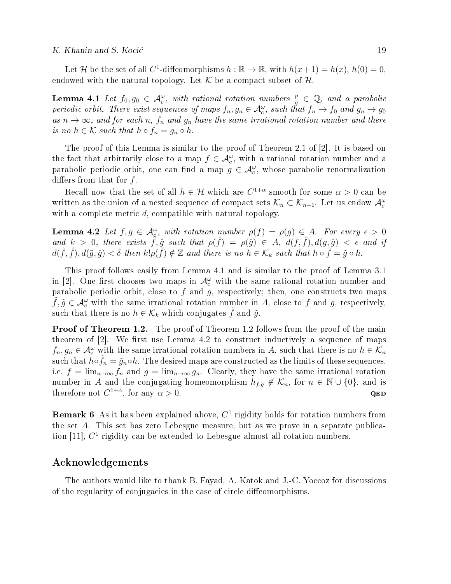Let H be the set of all C<sup>1</sup>-diffeomorphisms  $h : \mathbb{R} \to \mathbb{R}$ , with  $h(x+1) = h(x)$ ,  $h(0) = 0$ , endowed with the natural topology. Let  $K$  be a compact subset of  $H$ .

**Lemma 4.1** Let  $f_0, g_0 \in \mathcal{A}_c^{\omega}$ , with rational rotation numbers  $\frac{p}{q} \in \mathbb{Q}$ , and a parabolic periodic orbit. There exist sequences of maps  $f_n, g_n \in \mathcal{A}_c^\omega$ , such that  $f_n \to f_0$  and  $g_n \to g_0$ as  $n \to \infty$ , and for each n,  $f_n$  and  $g_n$  have the same irrational rotation number and there is no  $h \in \mathcal{K}$  such that  $h \circ f_n = g_n \circ h$ .

The proof of this Lemma is similar to the proof of Theorem 2.1 of [2]. It is based on the fact that arbitrarily close to a map  $f \in \mathcal{A}_c^{\omega}$ , with a rational rotation number and a parabolic periodic orbit, one can find a map  $g \in \mathcal{A}_{c}^{\omega}$ , whose parabolic renormalization differs from that for  $f$ .

Recall now that the set of all  $h \in \mathcal{H}$  which are  $C^{1+\alpha}$ -smooth for some  $\alpha > 0$  can be written as the union of a nested sequence of compact sets  $\mathcal{K}_n \subset \mathcal{K}_{n+1}$ . Let us endow  $\mathcal{A}_c^{\omega}$ with a complete metric d, compatible with natural topology.

**Lemma 4.2** Let  $f, g \in \mathcal{A}_{\varepsilon}^{\omega}$ , with rotation number  $\rho(f) = \rho(g) \in A$ . For every  $\epsilon > 0$ and  $k > 0$ , there exists  $\tilde{f}, \hat{g}$  such that  $\rho(\hat{f}) = \rho(\hat{g}) \in A$ ,  $d(f, \hat{f}), d(g, \hat{g}) < \epsilon$  and if  $d(\tilde{f},\hat{f}), d(\tilde{g},\hat{g}) < \delta$  then  $k! \rho(\tilde{f}) \notin \mathbb{Z}$  and there is no  $h \in \mathcal{K}_k$  such that  $h \circ \tilde{f} = \tilde{g} \circ h$ .

This proof follows easily from Lemma 4.1 and is similar to the proof of Lemma 3.1 in [2]. One first chooses two maps in  $\mathcal{A}_{c}^{\omega}$  with the same rational rotation number and parabolic periodic orbit, close to  $f$  and  $g$ , respectively; then, one constructs two maps  $\tilde{f}, \tilde{g} \in \mathcal{A}_{c}^{\omega}$  with the same irrational rotation number in A, close to f and g, respectively, such that there is no  $h \in \mathcal{K}_k$  which conjugates f and  $\tilde{g}$ .

**Proof of Theorem 1.2.** The proof of Theorem 1.2 follows from the proof of the main theorem of  $[2]$ . We first use Lemma 4.2 to construct inductively a sequence of maps  $f_n, g_n \in \mathcal{A}_c^{\omega}$  with the same irrational rotation numbers in A, such that there is no  $h \in \mathcal{K}_n$ such that  $h \circ \tilde{f}_n = \tilde{g}_n \circ h$ . The desired maps are constructed as the limits of these sequences, i.e.  $f = \lim_{n \to \infty} f_n$  and  $g = \lim_{n \to \infty} g_n$ . Clearly, they have the same irrational rotation number in A and the conjugating homeomorphism  $h_{f,g} \notin \mathcal{K}_n$ , for  $n \in \mathbb{N} \cup \{0\}$ , and is therefore not  $C^{1+\alpha}$ , for any  $\alpha > 0$ . QED

**Remark 6** As it has been explained above,  $C<sup>1</sup>$  rigidity holds for rotation numbers from the set A. This set has zero Lebesgue measure, but as we prove in a separate publication [11],  $C<sup>1</sup>$  rigidity can be extended to Lebesgue almost all rotation numbers.

### Acknowledgements

The authors would like to thank B. Fayad, A. Katok and J.-C. Yoccoz for discussions of the regularity of conjugacies in the case of circle diffeomorphisms.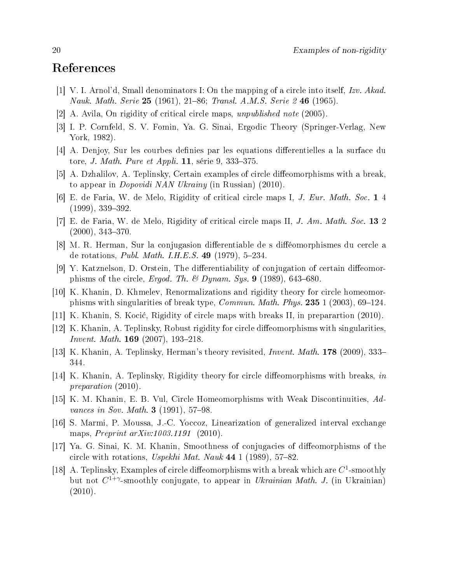## References

- [1] V. I. Arnol'd, Small denominators I: On the mapping of a circle into itself, Izv. Akad. Nauk. Math. Serie 25 (1961), 21–86; Transl. A.M.S. Serie 2 46 (1965).
- [2] A. Avila, On rigidity of critical circle maps, unpublished note (2005).
- [3] I. P. Cornfeld, S. V. Fomin, Ya. G. Sinai, Ergodic Theory (Springer-Verlag, New York, 1982).
- [4] A. Denjoy, Sur les courbes definies par les equations differentielles a la surface du tore, *J. Math. Pure et Appli.* **11**, série 9, 333–375.
- [5] A. Dzhalilov, A. Teplinsky, Certain examples of circle diffeomorphisms with a break, to appear in Dopovidi NAN Ukrainy (in Russian) (2010).
- [6] E. de Faria, W. de Melo, Rigidity of critical circle maps I, J. Eur. Math. Soc. 1 4  $(1999), 339-392.$
- [7] E. de Faria, W. de Melo, Rigidity of critical circle maps II, J. Am. Math. Soc. 13 2  $(2000), 343 - 370.$
- [8] M. R. Herman, Sur la conjugasion differentiable de s difféomorphismes du cercle a de rotations, *Publ. Math. I.H.E.S.* 49  $(1979)$ , 5-234.
- [9] Y. Katznelson, D. Orstein, The differentiability of conjugation of certain diffeomorphisms of the circle, Ergod. Th. & Dynam. Sys. 9 (1989), 643-680.
- [10] K. Khanin, D. Khmelev, Renormalizations and rigidity theory for circle homeomorphisms with singularities of break type, *Commun. Math. Phys.* **235** 1 (2003), 69–124.
- [11] K. Khanin, S. Koci¢, Rigidity of circle maps with breaks II, in preparartion (2010).
- [12] K. Khanin, A. Teplinsky, Robust rigidity for circle diffeomorphisms with singularities, *Invent. Math.* **169** (2007), 193-218.
- [13] K. Khanin, A. Teplinsky, Herman's theory revisited, Invent. Math. 178 (2009), 333 344.
- [14] K. Khanin, A. Teplinsky, Rigidity theory for circle diffeomorphisms with breaks, in preparation (2010).
- [15] K. M. Khanin, E. B. Vul, Circle Homeomorphisms with Weak Discontinuities, Advances in Sov. Math. **3** (1991),  $57-98$ .
- [16] S. Marmi, P. Moussa, J.-C. Yoccoz, Linearization of generalized interval exchange maps, *Preprint arXiv:1003.1191* (2010).
- [17] Ya. G. Sinai, K. M. Khanin, Smoothness of conjugacies of dieomorphisms of the circle with rotations, Uspekhi Mat. Nauk  $44$  1 (1989), 57-82.
- [18] A. Teplinsky, Examples of circle diffeomorphisms with a break which are  $C^1$ -smoothly but not  $C^{1+\gamma}$ -smoothly conjugate, to appear in *Ukrainian Math. J.* (in Ukrainian)  $(2010).$